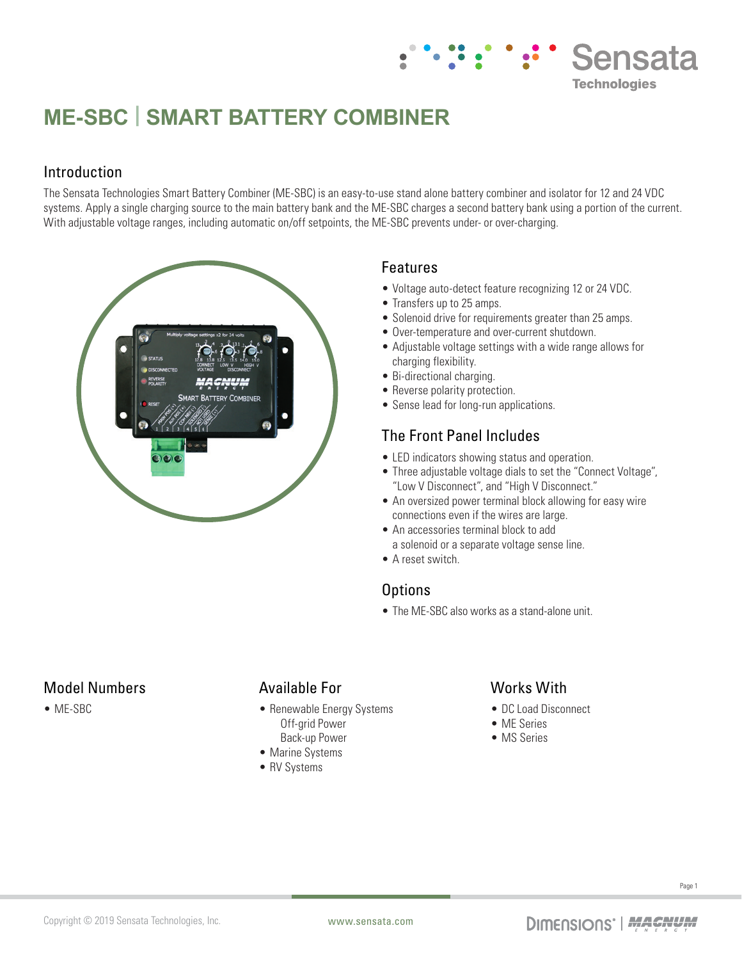# **ME-SBC | SMART BATTERY COMBINER**

#### Introduction

The Sensata Technologies Smart Battery Combiner (ME-SBC) is an easy-to-use stand alone battery combiner and isolator for 12 and 24 VDC systems. Apply a single charging source to the main battery bank and the ME-SBC charges a second battery bank using a portion of the current. With adjustable voltage ranges, including automatic on/off setpoints, the ME-SBC prevents under- or over-charging.



#### Features

• Voltage auto-detect feature recognizing 12 or 24 VDC.

Sensata

**Technologies** 

- Transfers up to 25 amps.
- Solenoid drive for requirements greater than 25 amps.
- Over-temperature and over-current shutdown.
- Adjustable voltage settings with a wide range allows for charging flexibility.
- Bi-directional charging.
- Reverse polarity protection.
- Sense lead for long-run applications.

#### The Front Panel Includes

- LED indicators showing status and operation.
- Three adjustable voltage dials to set the "Connect Voltage", "Low V Disconnect", and "High V Disconnect."
- An oversized power terminal block allowing for easy wire connections even if the wires are large.
- An accessories terminal block to add a solenoid or a separate voltage sense line.
- A reset switch.

#### **Options**

• The ME-SBC also works as a stand-alone unit.

#### Model Numbers

• ME-SBC

#### Available For

- Renewable Energy Systems Off-grid Power Back-up Power
- 
- Marine Systems
- RV Systems

#### Works With

- DC Load Disconnect
- ME Series
- MS Series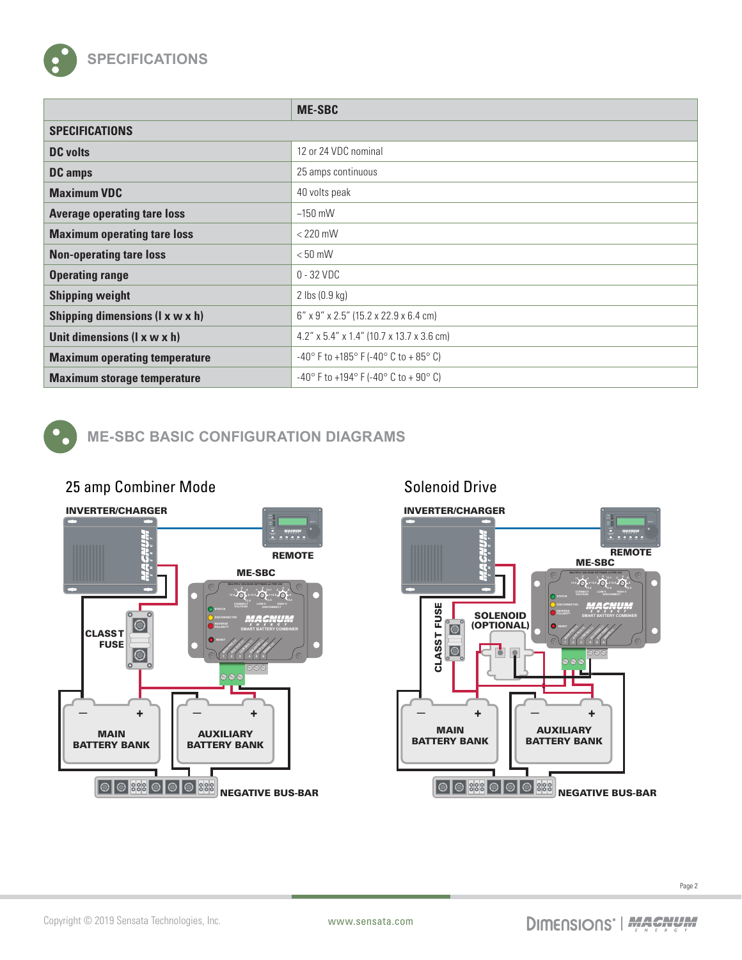

|                                         | <b>ME-SBC</b>                                                             |
|-----------------------------------------|---------------------------------------------------------------------------|
| <b>SPECIFICATIONS</b>                   |                                                                           |
| <b>DC</b> volts                         | 12 or 24 VDC nominal                                                      |
| <b>DC</b> amps                          | 25 amps continuous                                                        |
| <b>Maximum VDC</b>                      | 40 volts peak                                                             |
| <b>Average operating tare loss</b>      | $~150$ mW                                                                 |
| <b>Maximum operating tare loss</b>      | $<$ 220 mW                                                                |
| <b>Non-operating tare loss</b>          | $< 50$ mW                                                                 |
| <b>Operating range</b>                  | $0 - 32$ VDC                                                              |
| <b>Shipping weight</b>                  | $2$ lbs $(0.9 \text{ kg})$                                                |
| Shipping dimensions (I x w x h)         | 6" x 9" x 2.5" (15.2 x 22.9 x 6.4 cm)                                     |
| Unit dimensions $(I \times w \times h)$ | $4.2''$ x 5.4" x 1.4" (10.7 x 13.7 x 3.6 cm)                              |
| <b>Maximum operating temperature</b>    | $-40^{\circ}$ F to $+185^{\circ}$ F ( $-40^{\circ}$ C to $+85^{\circ}$ C) |
| <b>Maximum storage temperature</b>      | $-40^{\circ}$ F to $+194^{\circ}$ F ( $-40^{\circ}$ C to $+90^{\circ}$ C) |

## **ME-SBC BASIC CONFIGURATION DIAGRAMS**